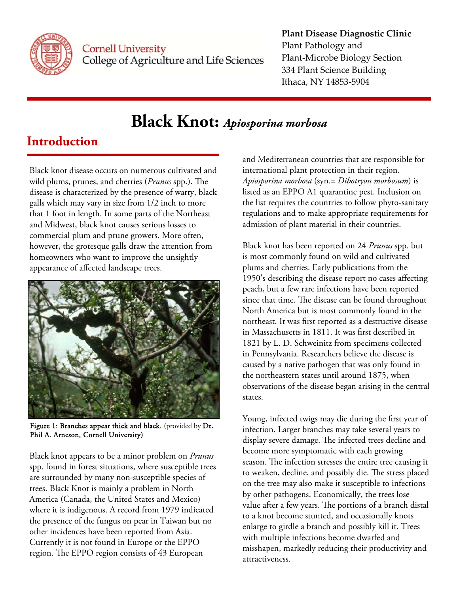

### **Plant Disease Diagnostic Clinic**

Plant Pathology and Plant‐Microbe Biology Section 334 Plant Science Building Ithaca, NY 14853‐5904

# **Black Knot:** *Apiosporina morbosa*

### **Introduction**

Black knot disease occurs on numerous cultivated and wild plums, prunes, and cherries (*Prunus* spp.). The disease is characterized by the presence of warty, black galls which may vary in size from 1/2 inch to more that 1 foot in length. In some parts of the Northeast and Midwest, black knot causes serious losses to commercial plum and prune growers. More often, however, the grotesque galls draw the attention from homeowners who want to improve the unsightly appearance of affected landscape trees.



Figure 1: Branches appear thick and black. (provided by Dr. Phil A. Arneson, Cornell University)

Black knot appears to be a minor problem on *Prunus* spp. found in forest situations, where susceptible trees are surrounded by many non-susceptible species of trees. Black Knot is mainly a problem in North America (Canada, the United States and Mexico) where it is indigenous. A record from 1979 indicated the presence of the fungus on pear in Taiwan but no other incidences have been reported from Asia. Currently it is not found in Europe or the EPPO region. The EPPO region consists of 43 European

and Mediterranean countries that are responsible for international plant protection in their region. *Apiosporina morbosa* (syn.= *Dibotryon morbosum*) is listed as an EPPO A1 quarantine pest. Inclusion on the list requires the countries to follow phyto-sanitary regulations and to make appropriate requirements for admission of plant material in their countries.

Black knot has been reported on 24 *Prunus* spp. but is most commonly found on wild and cultivated plums and cherries. Early publications from the 1950's describing the disease report no cases affecting peach, but a few rare infections have been reported since that time. The disease can be found throughout North America but is most commonly found in the northeast. It was first reported as a destructive disease in Massachusetts in 1811. It was first described in 1821 by L. D. Schweinitz from specimens collected in Pennsylvania. Researchers believe the disease is caused by a native pathogen that was only found in the northeastern states until around 1875, when observations of the disease began arising in the central states.

Young, infected twigs may die during the first year of infection. Larger branches may take several years to display severe damage. The infected trees decline and become more symptomatic with each growing season. The infection stresses the entire tree causing it to weaken, decline, and possibly die. The stress placed on the tree may also make it susceptible to infections by other pathogens. Economically, the trees lose value after a few years. The portions of a branch distal to a knot become stunted, and occasionally knots enlarge to girdle a branch and possibly kill it. Trees with multiple infections become dwarfed and misshapen, markedly reducing their productivity and attractiveness.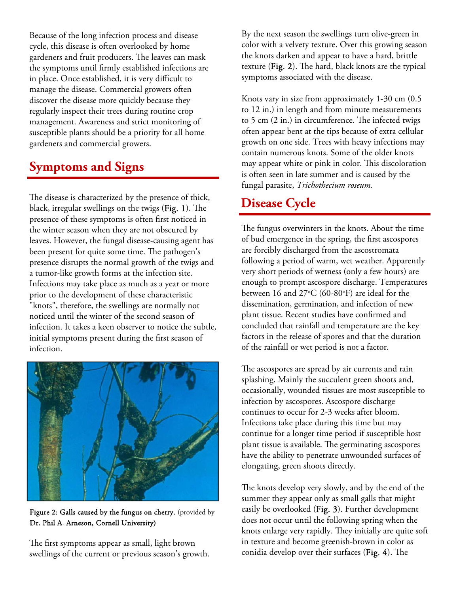Because of the long infection process and disease cycle, this disease is often overlooked by home gardeners and fruit producers. The leaves can mask the symptoms until firmly established infections are in place. Once established, it is very difficult to manage the disease. Commercial growers often discover the disease more quickly because they regularly inspect their trees during routine crop management. Awareness and strict monitoring of susceptible plants should be a priority for all home gardeners and commercial growers.

## **Symptoms and Signs**

The disease is characterized by the presence of thick, black, irregular swellings on the twigs (Fig. 1). The presence of these symptoms is often first noticed in the winter season when they are not obscured by leaves. However, the fungal disease-causing agent has been present for quite some time. The pathogen's presence disrupts the normal growth of the twigs and a tumor-like growth forms at the infection site. Infections may take place as much as a year or more prior to the development of these characteristic "knots", therefore, the swellings are normally not noticed until the winter of the second season of infection. It takes a keen observer to notice the subtle, initial symptoms present during the first season of infection.



Figure 2: Galls caused by the fungus on cherry. (provided by Dr. Phil A. Arneson, Cornell University)

The first symptoms appear as small, light brown swellings of the current or previous season's growth. By the next season the swellings turn olive-green in color with a velvety texture. Over this growing season the knots darken and appear to have a hard, brittle texture (Fig. 2). The hard, black knots are the typical symptoms associated with the disease.

Knots vary in size from approximately 1-30 cm (0.5 to 12 in.) in length and from minute measurements to 5 cm (2 in.) in circumference. The infected twigs often appear bent at the tips because of extra cellular growth on one side. Trees with heavy infections may contain numerous knots. Some of the older knots may appear white or pink in color. This discoloration is often seen in late summer and is caused by the fungal parasite, *Trichothecium roseum.* 

### **Disease Cycle**

The fungus overwinters in the knots. About the time of bud emergence in the spring, the first ascospores are forcibly discharged from the ascostromata following a period of warm, wet weather. Apparently very short periods of wetness (only a few hours) are enough to prompt ascospore discharge. Temperatures between 16 and  $27^{\circ}$ C (60-80 $^{\circ}$ F) are ideal for the dissemination, germination, and infection of new plant tissue. Recent studies have confirmed and concluded that rainfall and temperature are the key factors in the release of spores and that the duration of the rainfall or wet period is not a factor.

The ascospores are spread by air currents and rain splashing. Mainly the succulent green shoots and, occasionally, wounded tissues are most susceptible to infection by ascospores. Ascospore discharge continues to occur for 2-3 weeks after bloom. Infections take place during this time but may continue for a longer time period if susceptible host plant tissue is available. The germinating ascospores have the ability to penetrate unwounded surfaces of elongating, green shoots directly.

The knots develop very slowly, and by the end of the summer they appear only as small galls that might easily be overlooked (Fig. 3). Further development does not occur until the following spring when the knots enlarge very rapidly. They initially are quite soft in texture and become greenish-brown in color as conidia develop over their surfaces (Fig. 4). The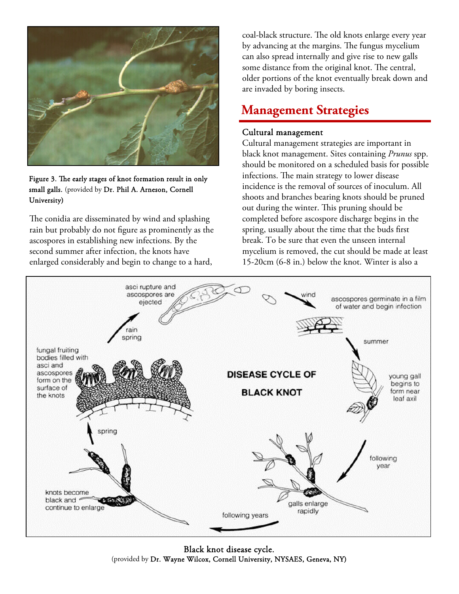

Figure 3. The early stages of knot formation result in only small galls. (provided by Dr. Phil A. Arneson, Cornell University)

The conidia are disseminated by wind and splashing rain but probably do not figure as prominently as the ascospores in establishing new infections. By the second summer after infection, the knots have enlarged considerably and begin to change to a hard,

coal-black structure. The old knots enlarge every year by advancing at the margins. The fungus mycelium can also spread internally and give rise to new galls some distance from the original knot. The central, older portions of the knot eventually break down and are invaded by boring insects.

### **Management Strategies**

#### Cultural management

Cultural management strategies are important in black knot management. Sites containing *Prunus* spp. should be monitored on a scheduled basis for possible infections. The main strategy to lower disease incidence is the removal of sources of inoculum. All shoots and branches bearing knots should be pruned out during the winter. This pruning should be completed before ascospore discharge begins in the spring, usually about the time that the buds first break. To be sure that even the unseen internal mycelium is removed, the cut should be made at least 15-20cm (6-8 in.) below the knot. Winter is also a



Black knot disease cycle. (provided by Dr. Wayne Wilcox, Cornell University, NYSAES, Geneva, NY)